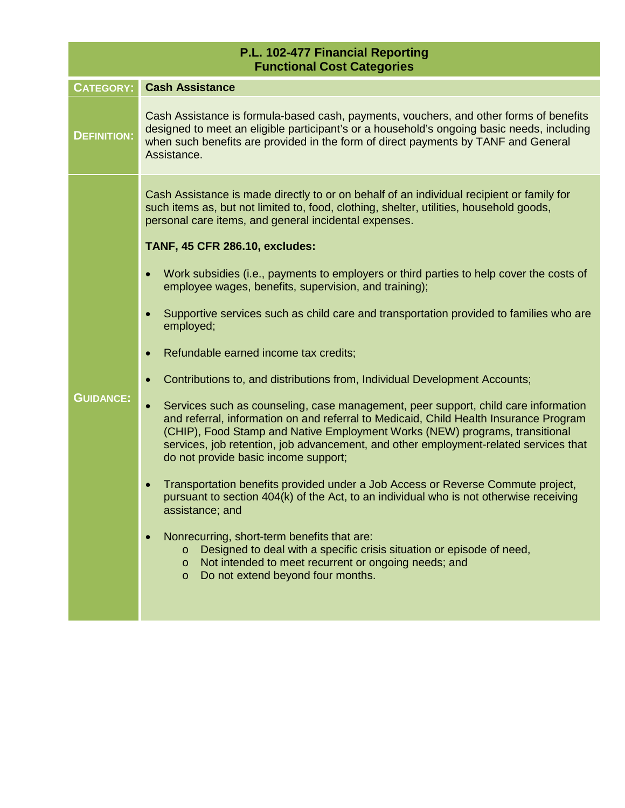| P.L. 102-477 Financial Reporting<br><b>Functional Cost Categories</b> |                                                                                                                                                                                                                                                                                                                                                                                            |  |
|-----------------------------------------------------------------------|--------------------------------------------------------------------------------------------------------------------------------------------------------------------------------------------------------------------------------------------------------------------------------------------------------------------------------------------------------------------------------------------|--|
| <b>CATEGORY:</b>                                                      | <b>Cash Assistance</b>                                                                                                                                                                                                                                                                                                                                                                     |  |
| <b>DEFINITION:</b>                                                    | Cash Assistance is formula-based cash, payments, vouchers, and other forms of benefits<br>designed to meet an eligible participant's or a household's ongoing basic needs, including<br>when such benefits are provided in the form of direct payments by TANF and General<br>Assistance.                                                                                                  |  |
|                                                                       | Cash Assistance is made directly to or on behalf of an individual recipient or family for<br>such items as, but not limited to, food, clothing, shelter, utilities, household goods,<br>personal care items, and general incidental expenses.<br><b>TANF, 45 CFR 286.10, excludes:</b>                                                                                                     |  |
|                                                                       | Work subsidies (i.e., payments to employers or third parties to help cover the costs of<br>employee wages, benefits, supervision, and training);                                                                                                                                                                                                                                           |  |
|                                                                       | Supportive services such as child care and transportation provided to families who are<br>employed;                                                                                                                                                                                                                                                                                        |  |
|                                                                       | Refundable earned income tax credits;<br>$\bullet$                                                                                                                                                                                                                                                                                                                                         |  |
|                                                                       | Contributions to, and distributions from, Individual Development Accounts;                                                                                                                                                                                                                                                                                                                 |  |
| <b>GUIDANCE:</b>                                                      | Services such as counseling, case management, peer support, child care information<br>and referral, information on and referral to Medicaid, Child Health Insurance Program<br>(CHIP), Food Stamp and Native Employment Works (NEW) programs, transitional<br>services, job retention, job advancement, and other employment-related services that<br>do not provide basic income support; |  |
|                                                                       | Transportation benefits provided under a Job Access or Reverse Commute project,<br>pursuant to section 404(k) of the Act, to an individual who is not otherwise receiving<br>assistance; and                                                                                                                                                                                               |  |
|                                                                       | Nonrecurring, short-term benefits that are:<br>Designed to deal with a specific crisis situation or episode of need,<br>$\circ$<br>Not intended to meet recurrent or ongoing needs; and<br>$\circ$<br>Do not extend beyond four months.<br>$\circ$                                                                                                                                         |  |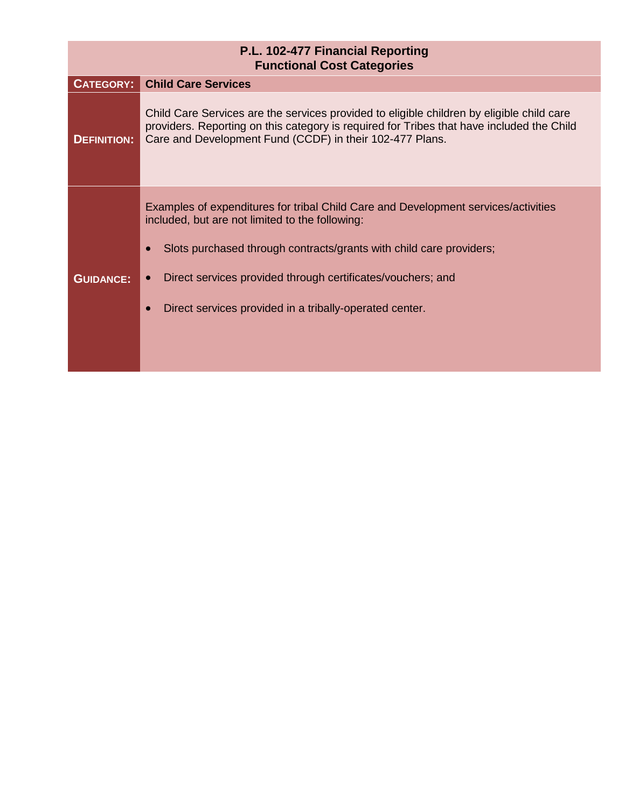| P.L. 102-477 Financial Reporting<br><b>Functional Cost Categories</b> |                                                                                                                                                                                                                                                                                                                                        |  |
|-----------------------------------------------------------------------|----------------------------------------------------------------------------------------------------------------------------------------------------------------------------------------------------------------------------------------------------------------------------------------------------------------------------------------|--|
| <b>CATEGORY:</b>                                                      | <b>Child Care Services</b>                                                                                                                                                                                                                                                                                                             |  |
| <b>DEFINITION:</b>                                                    | Child Care Services are the services provided to eligible children by eligible child care<br>providers. Reporting on this category is required for Tribes that have included the Child<br>Care and Development Fund (CCDF) in their 102-477 Plans.                                                                                     |  |
| <b>GUIDANCE:</b>                                                      | Examples of expenditures for tribal Child Care and Development services/activities<br>included, but are not limited to the following:<br>Slots purchased through contracts/grants with child care providers;<br>Direct services provided through certificates/vouchers; and<br>Direct services provided in a tribally-operated center. |  |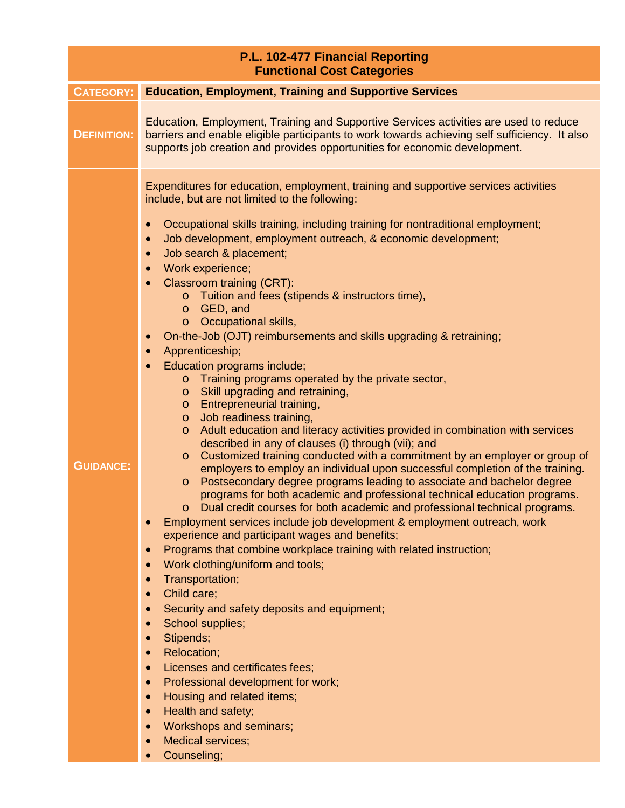| P.L. 102-477 Financial Reporting<br><b>Functional Cost Categories</b> |                                                                                                                                                                                                                                                                                                                                                                                                                                                                                                                                                                                                                                                                                                                                                                                                                                                                                                                                                                                                                                                                                                                                                                                                                                                                                                                                                                                                                                                                                                                                                                                                                                                                                                                                                                                                                                                                                                                                                                                                                                                                                                                                                                                                                                                              |  |
|-----------------------------------------------------------------------|--------------------------------------------------------------------------------------------------------------------------------------------------------------------------------------------------------------------------------------------------------------------------------------------------------------------------------------------------------------------------------------------------------------------------------------------------------------------------------------------------------------------------------------------------------------------------------------------------------------------------------------------------------------------------------------------------------------------------------------------------------------------------------------------------------------------------------------------------------------------------------------------------------------------------------------------------------------------------------------------------------------------------------------------------------------------------------------------------------------------------------------------------------------------------------------------------------------------------------------------------------------------------------------------------------------------------------------------------------------------------------------------------------------------------------------------------------------------------------------------------------------------------------------------------------------------------------------------------------------------------------------------------------------------------------------------------------------------------------------------------------------------------------------------------------------------------------------------------------------------------------------------------------------------------------------------------------------------------------------------------------------------------------------------------------------------------------------------------------------------------------------------------------------------------------------------------------------------------------------------------------------|--|
| <b>CATEGORY:</b>                                                      | <b>Education, Employment, Training and Supportive Services</b>                                                                                                                                                                                                                                                                                                                                                                                                                                                                                                                                                                                                                                                                                                                                                                                                                                                                                                                                                                                                                                                                                                                                                                                                                                                                                                                                                                                                                                                                                                                                                                                                                                                                                                                                                                                                                                                                                                                                                                                                                                                                                                                                                                                               |  |
| <b>DEFINITION:</b>                                                    | Education, Employment, Training and Supportive Services activities are used to reduce<br>barriers and enable eligible participants to work towards achieving self sufficiency. It also<br>supports job creation and provides opportunities for economic development.                                                                                                                                                                                                                                                                                                                                                                                                                                                                                                                                                                                                                                                                                                                                                                                                                                                                                                                                                                                                                                                                                                                                                                                                                                                                                                                                                                                                                                                                                                                                                                                                                                                                                                                                                                                                                                                                                                                                                                                         |  |
| <b>GUIDANCE:</b>                                                      | Expenditures for education, employment, training and supportive services activities<br>include, but are not limited to the following:<br>Occupational skills training, including training for nontraditional employment;<br>$\bullet$<br>Job development, employment outreach, & economic development;<br>$\bullet$<br>Job search & placement;<br>$\bullet$<br>Work experience;<br>$\bullet$<br><b>Classroom training (CRT):</b><br>$\bullet$<br>o Tuition and fees (stipends & instructors time),<br>GED, and<br>$\circ$<br>Occupational skills,<br>$\circ$<br>On-the-Job (OJT) reimbursements and skills upgrading & retraining;<br>$\bullet$<br>Apprenticeship;<br>$\bullet$<br>Education programs include;<br>$\bullet$<br>Training programs operated by the private sector,<br>$\circ$<br>Skill upgrading and retraining,<br>$\circ$<br>Entrepreneurial training,<br>$\circ$<br>Job readiness training,<br>$\circ$<br>Adult education and literacy activities provided in combination with services<br>$\circ$<br>described in any of clauses (i) through (vii); and<br>Customized training conducted with a commitment by an employer or group of<br>$\circ$<br>employers to employ an individual upon successful completion of the training.<br>Postsecondary degree programs leading to associate and bachelor degree<br>$\circ$<br>programs for both academic and professional technical education programs.<br>Dual credit courses for both academic and professional technical programs.<br>Employment services include job development & employment outreach, work<br>$\bullet$<br>experience and participant wages and benefits;<br>Programs that combine workplace training with related instruction;<br>$\bullet$<br>Work clothing/uniform and tools;<br>$\bullet$<br>Transportation;<br>$\bullet$<br>Child care;<br>$\bullet$<br>Security and safety deposits and equipment;<br>$\bullet$<br>School supplies;<br>$\bullet$<br>Stipends;<br>$\bullet$<br><b>Relocation;</b><br>$\bullet$<br>Licenses and certificates fees;<br>$\bullet$<br>Professional development for work;<br>$\bullet$<br>Housing and related items;<br>$\bullet$<br>Health and safety;<br>$\bullet$<br>Workshops and seminars;<br>$\bullet$<br><b>Medical services;</b> |  |
|                                                                       | $\bullet$<br>Counseling;<br>$\bullet$                                                                                                                                                                                                                                                                                                                                                                                                                                                                                                                                                                                                                                                                                                                                                                                                                                                                                                                                                                                                                                                                                                                                                                                                                                                                                                                                                                                                                                                                                                                                                                                                                                                                                                                                                                                                                                                                                                                                                                                                                                                                                                                                                                                                                        |  |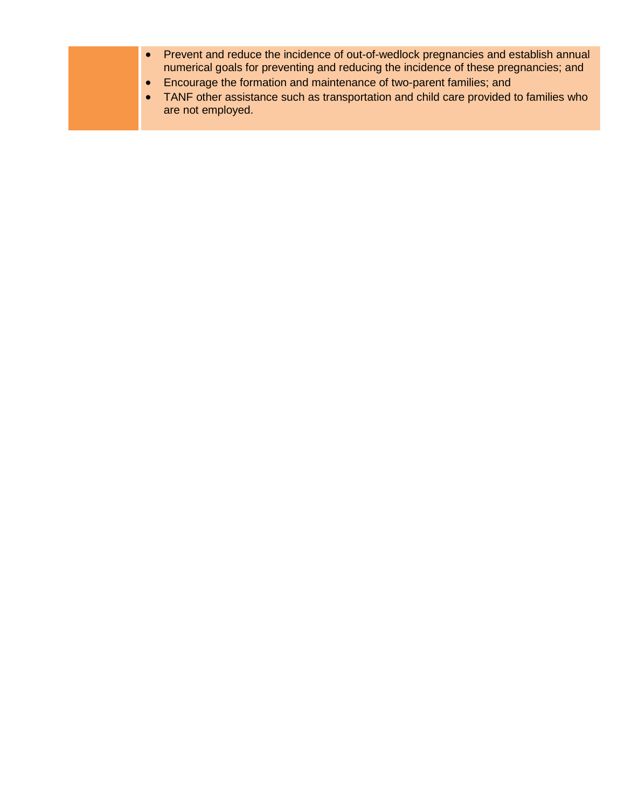- Prevent and reduce the incidence of out-of-wedlock pregnancies and establish annual numerical goals for preventing and reducing the incidence of these pregnancies; and
- Encourage the formation and maintenance of two-parent families; and
- TANF other assistance such as transportation and child care provided to families who are not employed.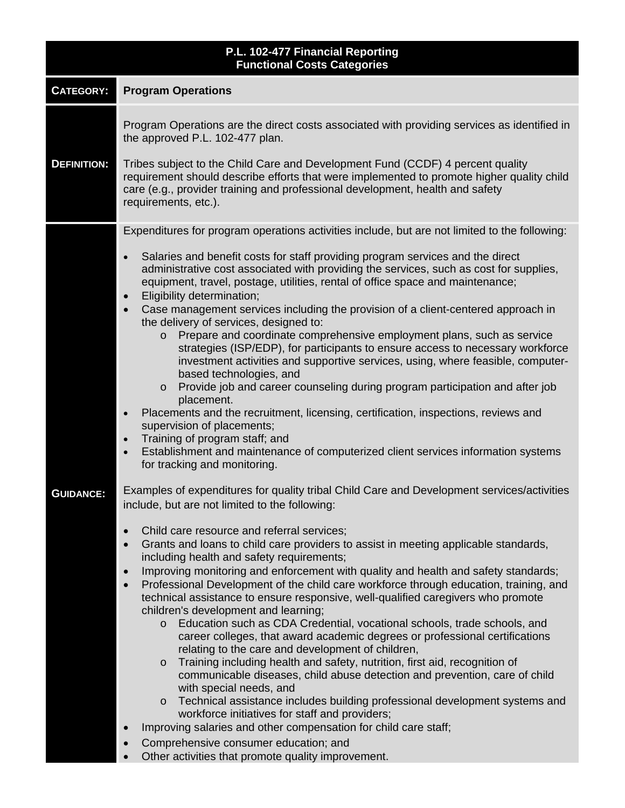| P.L. 102-477 Financial Reporting<br><b>Functional Costs Categories</b> |                                                                                                                                                                                                                                                                                                                                                                                                                                                                                                                                                                                                                                                                                                                                                                                                                                                                                                                                                                                                                                                                                                                                                                                                                                                                                                                                                                                                                                                                                                                                                                                                                                                                                                                                                                                                                                                                                                                                                                                                                                                                                                                                                                                                                                                                                                                                                                                                                                                                                                                                                                                                                                                 |  |
|------------------------------------------------------------------------|-------------------------------------------------------------------------------------------------------------------------------------------------------------------------------------------------------------------------------------------------------------------------------------------------------------------------------------------------------------------------------------------------------------------------------------------------------------------------------------------------------------------------------------------------------------------------------------------------------------------------------------------------------------------------------------------------------------------------------------------------------------------------------------------------------------------------------------------------------------------------------------------------------------------------------------------------------------------------------------------------------------------------------------------------------------------------------------------------------------------------------------------------------------------------------------------------------------------------------------------------------------------------------------------------------------------------------------------------------------------------------------------------------------------------------------------------------------------------------------------------------------------------------------------------------------------------------------------------------------------------------------------------------------------------------------------------------------------------------------------------------------------------------------------------------------------------------------------------------------------------------------------------------------------------------------------------------------------------------------------------------------------------------------------------------------------------------------------------------------------------------------------------------------------------------------------------------------------------------------------------------------------------------------------------------------------------------------------------------------------------------------------------------------------------------------------------------------------------------------------------------------------------------------------------------------------------------------------------------------------------------------------------|--|
| <b>CATEGORY:</b>                                                       | <b>Program Operations</b>                                                                                                                                                                                                                                                                                                                                                                                                                                                                                                                                                                                                                                                                                                                                                                                                                                                                                                                                                                                                                                                                                                                                                                                                                                                                                                                                                                                                                                                                                                                                                                                                                                                                                                                                                                                                                                                                                                                                                                                                                                                                                                                                                                                                                                                                                                                                                                                                                                                                                                                                                                                                                       |  |
| <b>DEFINITION:</b>                                                     | Program Operations are the direct costs associated with providing services as identified in<br>the approved P.L. 102-477 plan.<br>Tribes subject to the Child Care and Development Fund (CCDF) 4 percent quality<br>requirement should describe efforts that were implemented to promote higher quality child<br>care (e.g., provider training and professional development, health and safety<br>requirements, etc.).                                                                                                                                                                                                                                                                                                                                                                                                                                                                                                                                                                                                                                                                                                                                                                                                                                                                                                                                                                                                                                                                                                                                                                                                                                                                                                                                                                                                                                                                                                                                                                                                                                                                                                                                                                                                                                                                                                                                                                                                                                                                                                                                                                                                                          |  |
| <b>GUIDANCE:</b>                                                       | Expenditures for program operations activities include, but are not limited to the following:<br>Salaries and benefit costs for staff providing program services and the direct<br>$\bullet$<br>administrative cost associated with providing the services, such as cost for supplies,<br>equipment, travel, postage, utilities, rental of office space and maintenance;<br>Eligibility determination;<br>Case management services including the provision of a client-centered approach in<br>$\bullet$<br>the delivery of services, designed to:<br>o Prepare and coordinate comprehensive employment plans, such as service<br>strategies (ISP/EDP), for participants to ensure access to necessary workforce<br>investment activities and supportive services, using, where feasible, computer-<br>based technologies, and<br>Provide job and career counseling during program participation and after job<br>$\circ$<br>placement.<br>Placements and the recruitment, licensing, certification, inspections, reviews and<br>$\bullet$<br>supervision of placements;<br>Training of program staff; and<br>$\bullet$<br>Establishment and maintenance of computerized client services information systems<br>$\bullet$<br>for tracking and monitoring.<br>Examples of expenditures for quality tribal Child Care and Development services/activities<br>include, but are not limited to the following:<br>Child care resource and referral services;<br>$\bullet$<br>Grants and loans to child care providers to assist in meeting applicable standards,<br>$\bullet$<br>including health and safety requirements;<br>Improving monitoring and enforcement with quality and health and safety standards;<br>$\bullet$<br>Professional Development of the child care workforce through education, training, and<br>$\bullet$<br>technical assistance to ensure responsive, well-qualified caregivers who promote<br>children's development and learning;<br>Education such as CDA Credential, vocational schools, trade schools, and<br>$\circ$<br>career colleges, that award academic degrees or professional certifications<br>relating to the care and development of children,<br>Training including health and safety, nutrition, first aid, recognition of<br>$\circ$<br>communicable diseases, child abuse detection and prevention, care of child<br>with special needs, and<br>Technical assistance includes building professional development systems and<br>$\circ$<br>workforce initiatives for staff and providers;<br>Improving salaries and other compensation for child care staff;<br>Comprehensive consumer education; and |  |
|                                                                        | Other activities that promote quality improvement.                                                                                                                                                                                                                                                                                                                                                                                                                                                                                                                                                                                                                                                                                                                                                                                                                                                                                                                                                                                                                                                                                                                                                                                                                                                                                                                                                                                                                                                                                                                                                                                                                                                                                                                                                                                                                                                                                                                                                                                                                                                                                                                                                                                                                                                                                                                                                                                                                                                                                                                                                                                              |  |